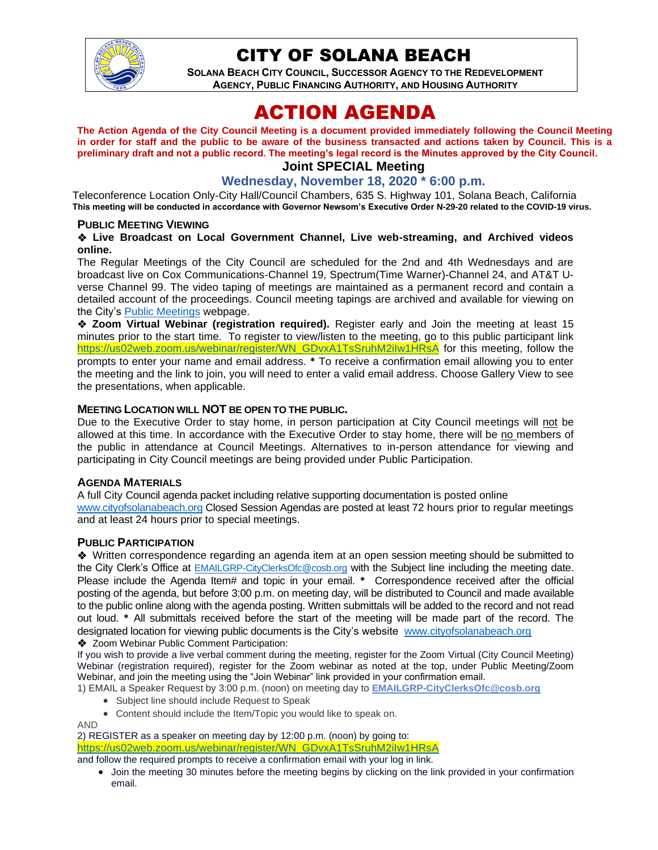

# CITY OF SOLANA BEACH

**SOLANA BEACH CITY COUNCIL, SUCCESSOR AGENCY TO THE REDEVELOPMENT AGENCY, PUBLIC FINANCING AUTHORITY, AND HOUSING AUTHORITY** 

# ACTION AGENDA

**The Action Agenda of the City Council Meeting is a document provided immediately following the Council Meeting in order for staff and the public to be aware of the business transacted and actions taken by Council. This is a preliminary draft and not a public record. The meeting's legal record is the Minutes approved by the City Council.**

## **Joint SPECIAL Meeting**

#### **Wednesday, November 18, 2020 \* 6:00 p.m.**

Teleconference Location Only-City Hall/Council Chambers, 635 S. Highway 101, Solana Beach, California **This meeting will be conducted in accordance with Governor Newsom's Executive Order N-29-20 related to the COVID-19 virus.**

#### **PUBLIC MEETING VIEWING**

#### ❖ **Live Broadcast on Local Government Channel, Live web-streaming, and Archived videos online.**

The Regular Meetings of the City Council are scheduled for the 2nd and 4th Wednesdays and are broadcast live on Cox Communications-Channel 19, Spectrum(Time Warner)-Channel 24, and AT&T Uverse Channel 99. The video taping of meetings are maintained as a permanent record and contain a detailed account of the proceedings. Council meeting tapings are archived and available for viewing on the City's [Public Meetings](https://urldefense.proofpoint.com/v2/url?u=https-3A__www.ci.solana-2Dbeach.ca.us_index.asp-3FSEC-3DF0F1200D-2D21C6-2D4A88-2D8AE1-2D0BC07C1A81A7-26Type-3DB-5FBASIC&d=DwMFAg&c=euGZstcaTDllvimEN8b7jXrwqOf-v5A_CdpgnVfiiMM&r=1XAsCUuqwK_tji2t0s1uIQ&m=wny2RVfZJ2tN24LkqZmkUWNpwL_peNtTZUBlTBZiMM4&s=WwpcEQpHHkFen6nS6q2waMuQ_VMZ-i1YZ60lD-dYRRE&e=) webpage.

❖ **Zoom Virtual Webinar (registration required).** Register early and Join the meeting at least 15 minutes prior to the start time. To register to view/listen to the meeting, go to this public participant link [https://us02web.zoom.us/webinar/register/WN\\_GDvxA1TsSruhM2iIw1HRsA](https://us02web.zoom.us/webinar/register/WN_GDvxA1TsSruhM2iIw1HRsA) for this meeting, follow the prompts to enter your name and email address. **\*** To receive a confirmation email allowing you to enter the meeting and the link to join, you will need to enter a valid email address. Choose Gallery View to see the presentations, when applicable.

#### **MEETING LOCATION WILL NOT BE OPEN TO THE PUBLIC.**

Due to the Executive Order to stay home, in person participation at City Council meetings will not be allowed at this time. In accordance with the Executive Order to stay home, there will be no members of the public in attendance at Council Meetings. Alternatives to in-person attendance for viewing and participating in City Council meetings are being provided under Public Participation.

#### **AGENDA MATERIALS**

A full City Council agenda packet including relative supporting documentation is posted online [www.cityofsolanabeach.org](http://www.cityofsolanabeach.org/) Closed Session Agendas are posted at least 72 hours prior to regular meetings and at least 24 hours prior to special meetings.

#### **PUBLIC PARTICIPATION**

❖Written correspondence regarding an agenda item at an open session meeting should be submitted to the City Clerk's Office at [EMAILGRP-CityClerksOfc@cosb.org](mailto:EMAILGRP-CityClerksOfc@cosb.org) with the Subject line including the meeting date. Please include the Agenda Item# and topic in your email. **\*** Correspondence received after the official posting of the agenda, but before 3:00 p.m. on meeting day, will be distributed to Council and made available to the public online along with the agenda posting. Written submittals will be added to the record and not read out loud. **\*** All submittals received before the start of the meeting will be made part of the record. The designated location for viewing public documents is the City's website [www.cityofsolanabeach.org](http://www.cityofsolanabeach.org/)

❖ Zoom Webinar Public Comment Participation:

If you wish to provide a live verbal comment during the meeting, register for the Zoom Virtual (City Council Meeting) Webinar (registration required), register for the Zoom webinar as noted at the top, under Public Meeting/Zoom Webinar, and join the meeting using the "Join Webinar" link provided in your confirmation email.

- 1) EMAIL a Speaker Request by 3:00 p.m. (noon) on meeting day to **[EMAILGRP-CityClerksOfc@cosb.org](mailto:EMAILGRP-CityClerksOfc@cosb.org)**
	- Subject line should include Request to Speak
	- Content should include the Item/Topic you would like to speak on.

#### AND

2) REGISTER as a speaker on meeting day by 12:00 p.m. (noon) by going to: [https://us02web.zoom.us/webinar/register/WN\\_GDvxA1TsSruhM2iIw1HRsA](https://us02web.zoom.us/webinar/register/WN_GDvxA1TsSruhM2iIw1HRsA)

and follow the required prompts to receive a confirmation email with your log in link.

• Join the meeting 30 minutes before the meeting begins by clicking on the link provided in your confirmation email.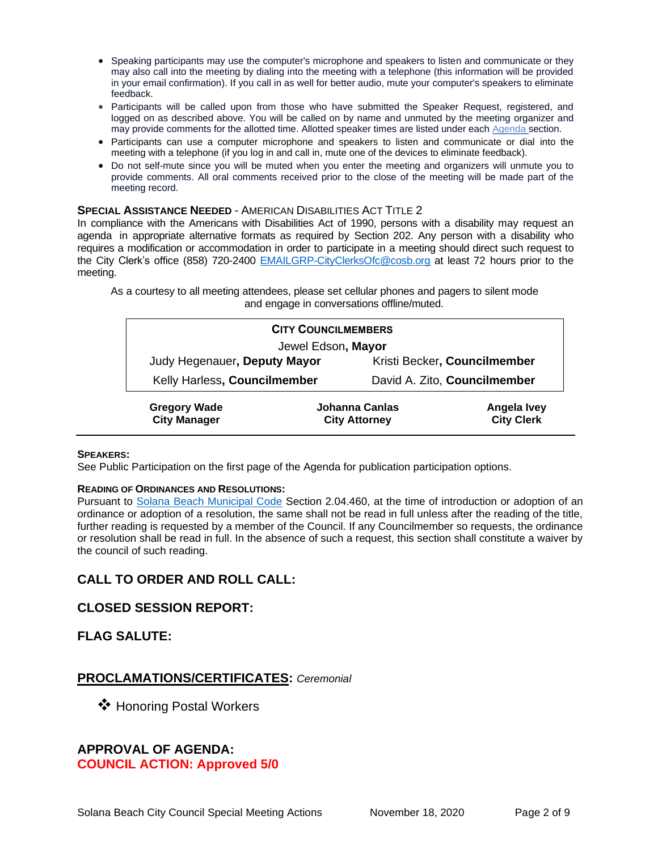- Speaking participants may use the computer's microphone and speakers to listen and communicate or they may also call into the meeting by dialing into the meeting with a telephone (this information will be provided in your email confirmation). If you call in as well for better audio, mute your computer's speakers to eliminate feedback.
- Participants will be called upon from those who have submitted the Speaker Request, registered, and logged on as described above. You will be called on by name and unmuted by the meeting organizer and may provide comments for the allotted time. Allotted speaker times are listed under each [Agenda s](https://urldefense.proofpoint.com/v2/url?u=https-3A__www.ci.solana-2Dbeach.ca.us_index.asp-3FSEC-3DF0F1200D-2D21C6-2D4A88-2D8AE1-2D0BC07C1A81A7-26Type-3DB-5FBASIC&d=DwMFaQ&c=euGZstcaTDllvimEN8b7jXrwqOf-v5A_CdpgnVfiiMM&r=1XAsCUuqwK_tji2t0s1uIQ&m=C7WzXfOw2_nkEFMJClT55zZsF4tmIf_7KTn0o1WpYqI&s=3DcsWExM2_nx_xpvFtXslUjphiXd0MDCCF18y_Qy5yU&e=)ection.
- Participants can use a computer microphone and speakers to listen and communicate or dial into the meeting with a telephone (if you log in and call in, mute one of the devices to eliminate feedback).
- Do not self-mute since you will be muted when you enter the meeting and organizers will unmute you to provide comments. All oral comments received prior to the close of the meeting will be made part of the meeting record.

#### **SPECIAL ASSISTANCE NEEDED** - AMERICAN DISABILITIES ACT TITLE 2

In compliance with the Americans with Disabilities Act of 1990, persons with a disability may request an agenda in appropriate alternative formats as required by Section 202. Any person with a disability who requires a modification or accommodation in order to participate in a meeting should direct such request to the City Clerk's office (858) 720-2400 [EMAILGRP-CityClerksOfc@cosb.org](mailto:EMAILGRP-CityClerksOfc@cosb.org) at least 72 hours prior to the meeting.

As a courtesy to all meeting attendees, please set cellular phones and pagers to silent mode and engage in conversations offline/muted.

| <b>CITY COUNCILMEMBERS</b>                 |                                        |                              |                                  |
|--------------------------------------------|----------------------------------------|------------------------------|----------------------------------|
| Jewel Edson, Mayor                         |                                        |                              |                                  |
| Judy Hegenauer, Deputy Mayor               |                                        | Kristi Becker, Councilmember |                                  |
| Kelly Harless, Councilmember               |                                        | David A. Zito, Councilmember |                                  |
| <b>Gregory Wade</b><br><b>City Manager</b> | Johanna Canlas<br><b>City Attorney</b> |                              | Angela Ivey<br><b>City Clerk</b> |

#### **SPEAKERS:**

See Public Participation on the first page of the Agenda for publication participation options.

#### **READING OF ORDINANCES AND RESOLUTIONS:**

Pursuant to [Solana Beach Municipal Code](https://www.codepublishing.com/CA/SolanaBeach/) Section 2.04.460, at the time of introduction or adoption of an ordinance or adoption of a resolution, the same shall not be read in full unless after the reading of the title, further reading is requested by a member of the Council. If any Councilmember so requests, the ordinance or resolution shall be read in full. In the absence of such a request, this section shall constitute a waiver by the council of such reading.

## **CALL TO ORDER AND ROLL CALL:**

#### **CLOSED SESSION REPORT:**

#### **FLAG SALUTE:**

#### **PROCLAMATIONS/CERTIFICATES:** *Ceremonial*

❖ Honoring Postal Workers

# **APPROVAL OF AGENDA:**

#### **COUNCIL ACTION: Approved 5/0**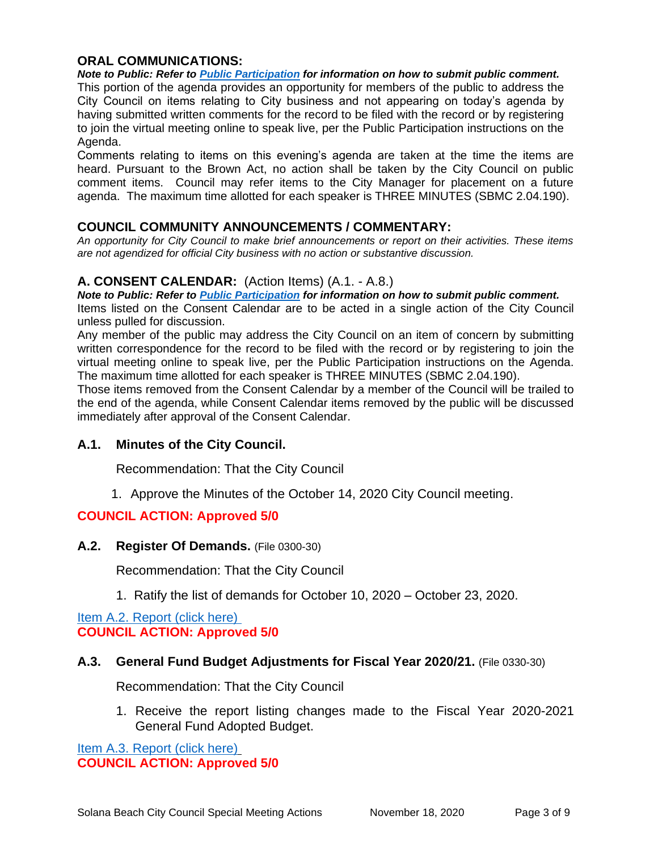#### **ORAL COMMUNICATIONS:**

*Note to Public: Refer to Public Participation for information on how to submit public comment.*  This portion of the agenda provides an opportunity for members of the public to address the City Council on items relating to City business and not appearing on today's agenda by having submitted written comments for the record to be filed with the record or by registering to join the virtual meeting online to speak live, per the Public Participation instructions on the Agenda.

Comments relating to items on this evening's agenda are taken at the time the items are heard. Pursuant to the Brown Act, no action shall be taken by the City Council on public comment items. Council may refer items to the City Manager for placement on a future agenda. The maximum time allotted for each speaker is THREE MINUTES (SBMC 2.04.190).

#### **COUNCIL COMMUNITY ANNOUNCEMENTS / COMMENTARY:**

*An opportunity for City Council to make brief announcements or report on their activities. These items are not agendized for official City business with no action or substantive discussion.* 

#### **A. CONSENT CALENDAR:** (Action Items) (A.1. - A.8.)

*Note to Public: Refer to Public Participation for information on how to submit public comment.*  Items listed on the Consent Calendar are to be acted in a single action of the City Council unless pulled for discussion.

Any member of the public may address the City Council on an item of concern by submitting written correspondence for the record to be filed with the record or by registering to join the virtual meeting online to speak live, per the Public Participation instructions on the Agenda. The maximum time allotted for each speaker is THREE MINUTES (SBMC 2.04.190).

Those items removed from the Consent Calendar by a member of the Council will be trailed to the end of the agenda, while Consent Calendar items removed by the public will be discussed immediately after approval of the Consent Calendar.

#### **A.1. Minutes of the City Council.**

Recommendation: That the City Council

1. Approve the Minutes of the October 14, 2020 City Council meeting.

#### **COUNCIL ACTION: Approved 5/0**

#### **A.2. Register Of Demands.** (File 0300-30)

Recommendation: That the City Council

1. Ratify the list of demands for October 10, 2020 – October 23, 2020.

[Item A.2. Report \(click here\)](https://solanabeach.govoffice3.com/vertical/Sites/%7B840804C2-F869-4904-9AE3-720581350CE7%7D/uploads/Item_A.2._Report_(click_here)_11-18-20_O.pdf)  **COUNCIL ACTION: Approved 5/0**

#### **A.3. General Fund Budget Adjustments for Fiscal Year 2020/21.** (File 0330-30)

Recommendation: That the City Council

1. Receive the report listing changes made to the Fiscal Year 2020-2021 General Fund Adopted Budget.

[Item A.3. Report \(click here\)](https://solanabeach.govoffice3.com/vertical/Sites/%7B840804C2-F869-4904-9AE3-720581350CE7%7D/uploads/Item_A.3._Report_(click_here)_11-18-20_O.pdf) **COUNCIL ACTION: Approved 5/0**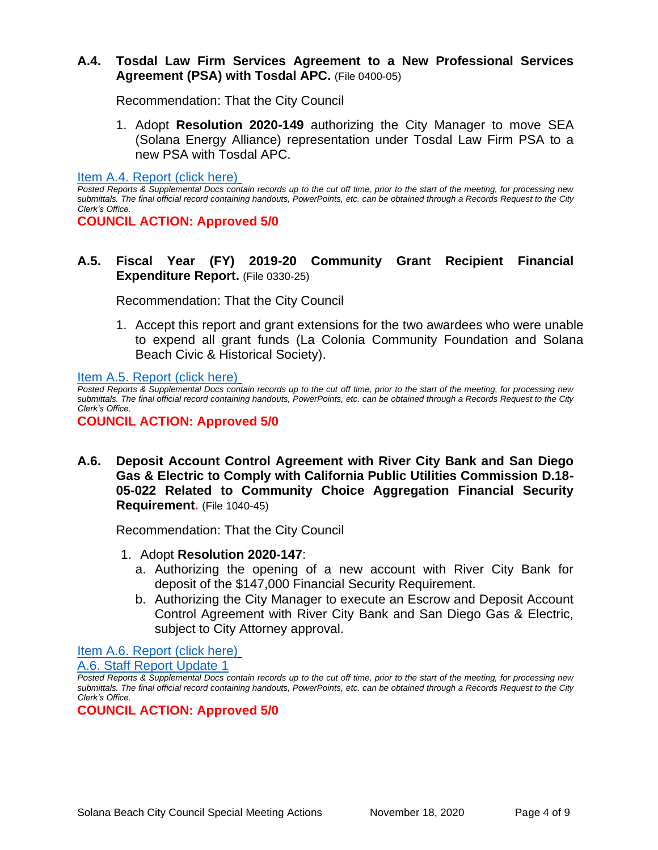#### **A.4. Tosdal Law Firm Services Agreement to a New Professional Services Agreement (PSA) with Tosdal APC.** (File 0400-05)

Recommendation: That the City Council

1. Adopt **Resolution 2020-149** authorizing the City Manager to move SEA (Solana Energy Alliance) representation under Tosdal Law Firm PSA to a new PSA with Tosdal APC.

[Item A.4. Report \(click here\)](https://solanabeach.govoffice3.com/vertical/Sites/%7B840804C2-F869-4904-9AE3-720581350CE7%7D/uploads/Item_A.4._Report_(click_here)_11-18-20_O.pdf)

*Posted Reports & Supplemental Docs contain records up to the cut off time, prior to the start of the meeting, for processing new submittals. The final official record containing handouts, PowerPoints, etc. can be obtained through a Records Request to the City Clerk's Office.*

**COUNCIL ACTION: Approved 5/0**

**A.5. Fiscal Year (FY) 2019-20 Community Grant Recipient Financial Expenditure Report.** (File 0330-25)

Recommendation: That the City Council

1. Accept this report and grant extensions for the two awardees who were unable to expend all grant funds (La Colonia Community Foundation and Solana Beach Civic & Historical Society).

[Item A.5. Report \(click here\)](https://solanabeach.govoffice3.com/vertical/Sites/%7B840804C2-F869-4904-9AE3-720581350CE7%7D/uploads/Item_A.5._Report_(click_here)_11-18-20_O.pdf)

*Posted Reports & Supplemental Docs contain records up to the cut off time, prior to the start of the meeting, for processing new submittals. The final official record containing handouts, PowerPoints, etc. can be obtained through a Records Request to the City Clerk's Office.*

**COUNCIL ACTION: Approved 5/0**

**A.6. Deposit Account Control Agreement with River City Bank and San Diego Gas & Electric to Comply with California Public Utilities Commission D.18- 05-022 Related to Community Choice Aggregation Financial Security Requirement.** (File 1040-45)

Recommendation: That the City Council

- 1. Adopt **Resolution 2020-147**:
	- a. Authorizing the opening of a new account with River City Bank for deposit of the \$147,000 Financial Security Requirement.
	- b. Authorizing the City Manager to execute an Escrow and Deposit Account Control Agreement with River City Bank and San Diego Gas & Electric, subject to City Attorney approval.

[Item A.6. Report \(click here\)](https://solanabeach.govoffice3.com/vertical/Sites/%7B840804C2-F869-4904-9AE3-720581350CE7%7D/uploads/Item_A.6._Report_(click_here)_11-18-20_O.pdf)

[A.6. Staff Report Update 1](https://solanabeach.govoffice3.com/vertical/Sites/%7B840804C2-F869-4904-9AE3-720581350CE7%7D/uploads/A.6._Staff_Report_Update_1_-_O.pdf)

**COUNCIL ACTION: Approved 5/0**

*Posted Reports & Supplemental Docs contain records up to the cut off time, prior to the start of the meeting, for processing new submittals. The final official record containing handouts, PowerPoints, etc. can be obtained through a Records Request to the City Clerk's Office.*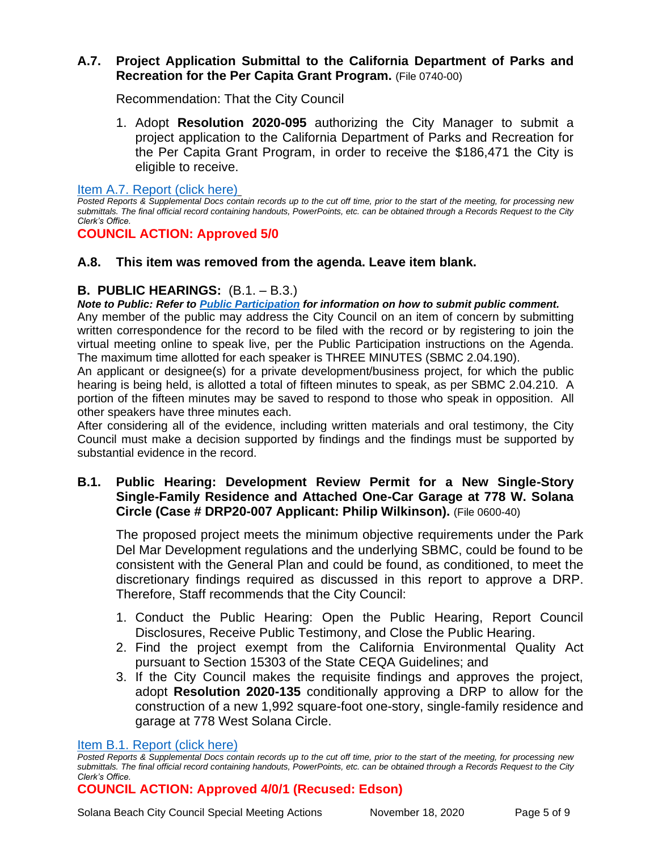## **A.7. Project Application Submittal to the California Department of Parks and Recreation for the Per Capita Grant Program.** (File 0740-00)

Recommendation: That the City Council

1. Adopt **Resolution 2020-095** authorizing the City Manager to submit a project application to the California Department of Parks and Recreation for the Per Capita Grant Program, in order to receive the \$186,471 the City is eligible to receive.

[Item A.7. Report \(click here\)](https://solanabeach.govoffice3.com/vertical/Sites/%7B840804C2-F869-4904-9AE3-720581350CE7%7D/uploads/Item_A.7._Report_(click_here)_11-18-20_O.pdf)

*Posted Reports & Supplemental Docs contain records up to the cut off time, prior to the start of the meeting, for processing new submittals. The final official record containing handouts, PowerPoints, etc. can be obtained through a Records Request to the City Clerk's Office.*

## **COUNCIL ACTION: Approved 5/0**

## **A.8. This item was removed from the agenda. Leave item blank.**

# **B. PUBLIC HEARINGS:** (B.1. – B.3.)

*Note to Public: Refer to Public Participation for information on how to submit public comment.*  Any member of the public may address the City Council on an item of concern by submitting written correspondence for the record to be filed with the record or by registering to join the virtual meeting online to speak live, per the Public Participation instructions on the Agenda. The maximum time allotted for each speaker is THREE MINUTES (SBMC 2.04.190).

An applicant or designee(s) for a private development/business project, for which the public hearing is being held, is allotted a total of fifteen minutes to speak, as per SBMC 2.04.210. A portion of the fifteen minutes may be saved to respond to those who speak in opposition. All other speakers have three minutes each.

After considering all of the evidence, including written materials and oral testimony, the City Council must make a decision supported by findings and the findings must be supported by substantial evidence in the record.

## **B.1. Public Hearing: Development Review Permit for a New Single-Story Single-Family Residence and Attached One-Car Garage at 778 W. Solana Circle (Case # DRP20-007 Applicant: Philip Wilkinson).** (File 0600-40)

The proposed project meets the minimum objective requirements under the Park Del Mar Development regulations and the underlying SBMC, could be found to be consistent with the General Plan and could be found, as conditioned, to meet the discretionary findings required as discussed in this report to approve a DRP. Therefore, Staff recommends that the City Council:

- 1. Conduct the Public Hearing: Open the Public Hearing, Report Council Disclosures, Receive Public Testimony, and Close the Public Hearing.
- 2. Find the project exempt from the California Environmental Quality Act pursuant to Section 15303 of the State CEQA Guidelines; and
- 3. If the City Council makes the requisite findings and approves the project, adopt **Resolution 2020-135** conditionally approving a DRP to allow for the construction of a new 1,992 square-foot one-story, single-family residence and garage at 778 West Solana Circle.

#### [Item B.1. Report \(click here\)](https://solanabeach.govoffice3.com/vertical/Sites/%7B840804C2-F869-4904-9AE3-720581350CE7%7D/uploads/Item_B.1._Report_(click_here)_11-18-20_O.pdf)

## **COUNCIL ACTION: Approved 4/0/1 (Recused: Edson)**

*Posted Reports & Supplemental Docs contain records up to the cut off time, prior to the start of the meeting, for processing new submittals. The final official record containing handouts, PowerPoints, etc. can be obtained through a Records Request to the City Clerk's Office.*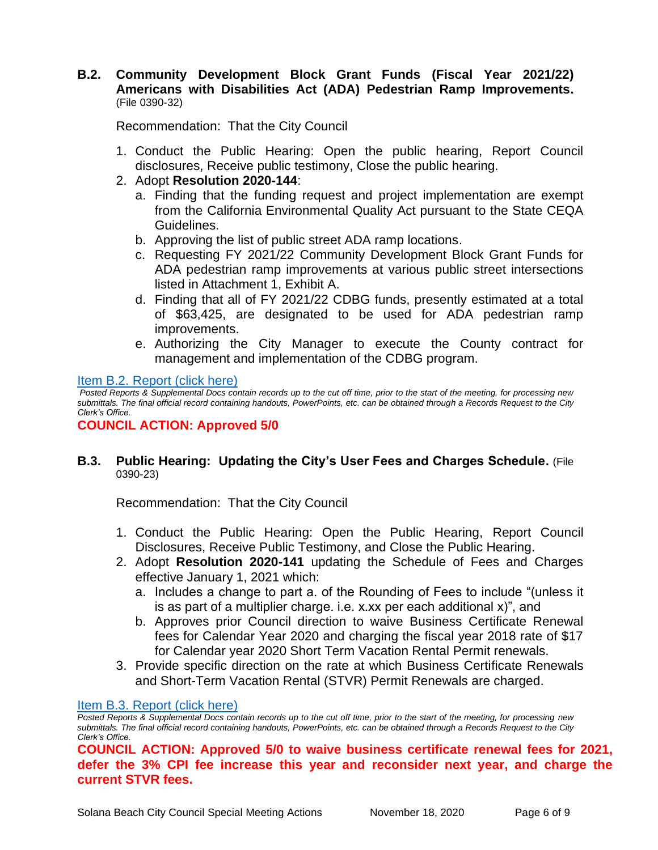#### **B.2. Community Development Block Grant Funds (Fiscal Year 2021/22) Americans with Disabilities Act (ADA) Pedestrian Ramp Improvements.** (File 0390-32)

Recommendation: That the City Council

- 1. Conduct the Public Hearing: Open the public hearing, Report Council disclosures, Receive public testimony, Close the public hearing.
- 2. Adopt **Resolution 2020-144**:
	- a. Finding that the funding request and project implementation are exempt from the California Environmental Quality Act pursuant to the State CEQA Guidelines.
	- b. Approving the list of public street ADA ramp locations.
	- c. Requesting FY 2021/22 Community Development Block Grant Funds for ADA pedestrian ramp improvements at various public street intersections listed in Attachment 1, Exhibit A.
	- d. Finding that all of FY 2021/22 CDBG funds, presently estimated at a total of \$63,425, are designated to be used for ADA pedestrian ramp improvements.
	- e. Authorizing the City Manager to execute the County contract for management and implementation of the CDBG program.

Item [B.2. Report \(click here\)](https://solanabeach.govoffice3.com/vertical/Sites/%7B840804C2-F869-4904-9AE3-720581350CE7%7D/uploads/Item_B.2._Report_(click_here)_11-18-20_O.pdf)

*Posted Reports & Supplemental Docs contain records up to the cut off time, prior to the start of the meeting, for processing new submittals. The final official record containing handouts, PowerPoints, etc. can be obtained through a Records Request to the City Clerk's Office.*

## **COUNCIL ACTION: Approved 5/0**

#### **B.3. Public Hearing: Updating the City's User Fees and Charges Schedule.** (File 0390-23)

Recommendation: That the City Council

- 1. Conduct the Public Hearing: Open the Public Hearing, Report Council Disclosures, Receive Public Testimony, and Close the Public Hearing.
- 2. Adopt **Resolution 2020-141** updating the Schedule of Fees and Charges effective January 1, 2021 which:
	- a. Includes a change to part a. of the Rounding of Fees to include "(unless it is as part of a multiplier charge. i.e. x.xx per each additional x)", and
	- b. Approves prior Council direction to waive Business Certificate Renewal fees for Calendar Year 2020 and charging the fiscal year 2018 rate of \$17 for Calendar year 2020 Short Term Vacation Rental Permit renewals.
- 3. Provide specific direction on the rate at which Business Certificate Renewals and Short-Term Vacation Rental (STVR) Permit Renewals are charged.

[Item B.3. Report \(click here\)](https://solanabeach.govoffice3.com/vertical/Sites/%7B840804C2-F869-4904-9AE3-720581350CE7%7D/uploads/Item_B.3._Report_(click_here)_11-18-20_O.pdf)

**COUNCIL ACTION: Approved 5/0 to waive business certificate renewal fees for 2021, defer the 3% CPI fee increase this year and reconsider next year, and charge the current STVR fees.**

*Posted Reports & Supplemental Docs contain records up to the cut off time, prior to the start of the meeting, for processing new submittals. The final official record containing handouts, PowerPoints, etc. can be obtained through a Records Request to the City Clerk's Office.*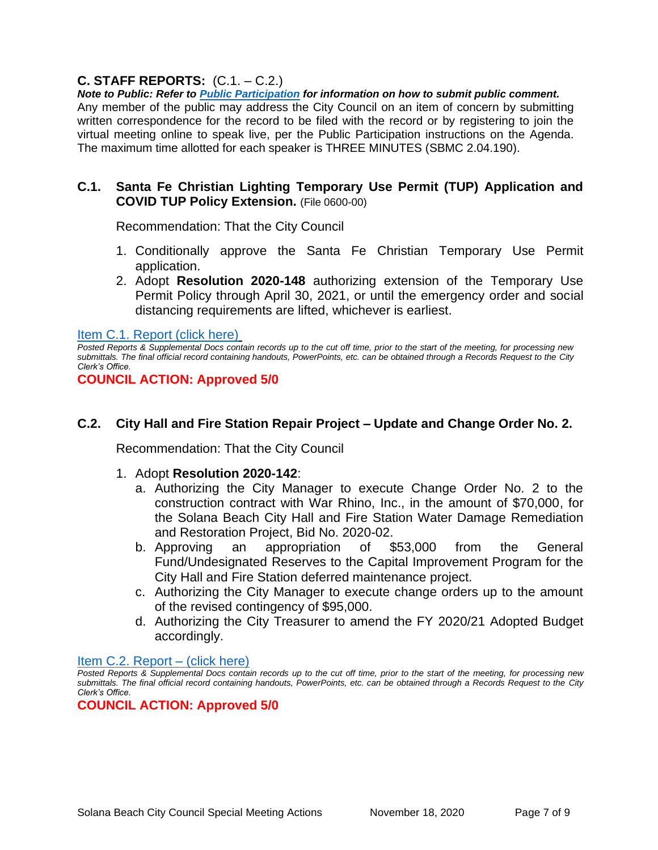# **C. STAFF REPORTS:** (C.1. – C.2.)

*Note to Public: Refer to Public Participation for information on how to submit public comment.*  Any member of the public may address the City Council on an item of concern by submitting written correspondence for the record to be filed with the record or by registering to join the virtual meeting online to speak live, per the Public Participation instructions on the Agenda. The maximum time allotted for each speaker is THREE MINUTES (SBMC 2.04.190).

### **C.1. Santa Fe Christian Lighting Temporary Use Permit (TUP) Application and COVID TUP Policy Extension.** (File 0600-00)

Recommendation: That the City Council

- 1. Conditionally approve the Santa Fe Christian Temporary Use Permit application.
- 2. Adopt **Resolution 2020-148** authorizing extension of the Temporary Use Permit Policy through April 30, 2021, or until the emergency order and social distancing requirements are lifted, whichever is earliest.

[Item C.1. Report \(click here\)](https://solanabeach.govoffice3.com/vertical/Sites/%7B840804C2-F869-4904-9AE3-720581350CE7%7D/uploads/Item_C.1._Report_(click_here)_11-18-20_O.pdf)

*Posted Reports & Supplemental Docs contain records up to the cut off time, prior to the start of the meeting, for processing new submittals. The final official record containing handouts, PowerPoints, etc. can be obtained through a Records Request to the City Clerk's Office.*

**COUNCIL ACTION: Approved 5/0**

# **C.2. City Hall and Fire Station Repair Project – Update and Change Order No. 2.**

Recommendation: That the City Council

- 1. Adopt **Resolution 2020-142**:
	- a. Authorizing the City Manager to execute Change Order No. 2 to the construction contract with War Rhino, Inc., in the amount of \$70,000, for the Solana Beach City Hall and Fire Station Water Damage Remediation and Restoration Project, Bid No. 2020-02.
	- b. Approving an appropriation of \$53,000 from the General Fund/Undesignated Reserves to the Capital Improvement Program for the City Hall and Fire Station deferred maintenance project.
	- c. Authorizing the City Manager to execute change orders up to the amount of the revised contingency of \$95,000.
	- d. Authorizing the City Treasurer to amend the FY 2020/21 Adopted Budget accordingly.

#### [Item C.2. Report –](https://solanabeach.govoffice3.com/vertical/Sites/%7B840804C2-F869-4904-9AE3-720581350CE7%7D/uploads/Item_C.2._Report_(click_here)_11-18-20_-_O.pdf) (click here)

**COUNCIL ACTION: Approved 5/0**

*Posted Reports & Supplemental Docs contain records up to the cut off time, prior to the start of the meeting, for processing new submittals. The final official record containing handouts, PowerPoints, etc. can be obtained through a Records Request to the City Clerk's Office.*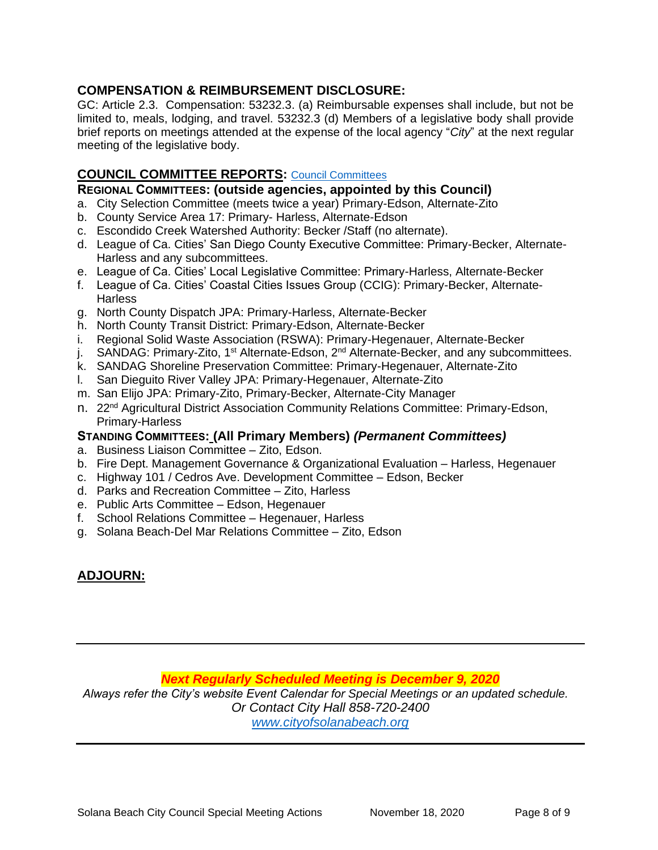# **COMPENSATION & REIMBURSEMENT DISCLOSURE:**

GC: Article 2.3. Compensation: 53232.3. (a) Reimbursable expenses shall include, but not be limited to, meals, lodging, and travel. 53232.3 (d) Members of a legislative body shall provide brief reports on meetings attended at the expense of the local agency "*City*" at the next regular meeting of the legislative body.

# **COUNCIL COMMITTEE REPORTS:** [Council Committees](https://www.ci.solana-beach.ca.us/index.asp?SEC=584E1192-3850-46EA-B977-088AC3E81E0D&Type=B_BASIC)

#### **REGIONAL COMMITTEES: (outside agencies, appointed by this Council)**

- a. City Selection Committee (meets twice a year) Primary-Edson, Alternate-Zito
- b. County Service Area 17: Primary- Harless, Alternate-Edson
- c. Escondido Creek Watershed Authority: Becker /Staff (no alternate).
- d. League of Ca. Cities' San Diego County Executive Committee: Primary-Becker, Alternate-Harless and any subcommittees.
- e. League of Ca. Cities' Local Legislative Committee: Primary-Harless, Alternate-Becker
- f. League of Ca. Cities' Coastal Cities Issues Group (CCIG): Primary-Becker, Alternate-**Harless**
- g. North County Dispatch JPA: Primary-Harless, Alternate-Becker
- h. North County Transit District: Primary-Edson, Alternate-Becker
- i. Regional Solid Waste Association (RSWA): Primary-Hegenauer, Alternate-Becker
- j. SANDAG: Primary-Zito, 1<sup>st</sup> Alternate-Edson, 2<sup>nd</sup> Alternate-Becker, and any subcommittees.
- k. SANDAG Shoreline Preservation Committee: Primary-Hegenauer, Alternate-Zito
- l. San Dieguito River Valley JPA: Primary-Hegenauer, Alternate-Zito
- m. San Elijo JPA: Primary-Zito, Primary-Becker, Alternate-City Manager
- n. 22<sup>nd</sup> Agricultural District Association Community Relations Committee: Primary-Edson, Primary-Harless

#### **STANDING COMMITTEES: (All Primary Members)** *(Permanent Committees)*

- a. Business Liaison Committee Zito, Edson.
- b. Fire Dept. Management Governance & Organizational Evaluation Harless, Hegenauer
- c. Highway 101 / Cedros Ave. Development Committee Edson, Becker
- d. Parks and Recreation Committee Zito, Harless
- e. Public Arts Committee Edson, Hegenauer
- f. School Relations Committee Hegenauer, Harless
- g. Solana Beach-Del Mar Relations Committee Zito, Edson

# **ADJOURN:**

*Next Regularly Scheduled Meeting is December 9, 2020*

*Always refer the City's website Event Calendar for Special Meetings or an updated schedule. Or Contact City Hall 858-720-2400*

*[www.cityofsolanabeach.org](http://www.cityofsolanabeach.org/)*